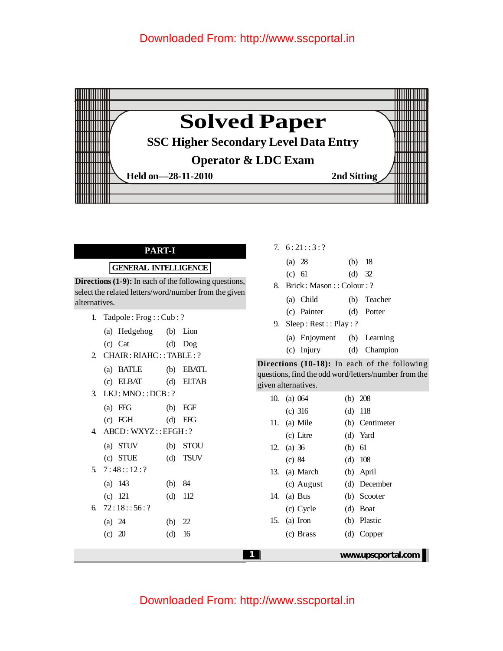

#### **PART-I**

#### **GENERAL INTELLIGENCE**

**Directions (1-9):** In each of the following questions, select the related letters/word/number from the given alternatives.

1. Tadpole : Frog : : Cub : ?

|              | $(b)$ Lion |
|--------------|------------|
| (a) Hedgehog |            |

- (c) Cat (d) Dog
- 2. CHAIR: RIAHC:: TABLE: ?

| (a) BATLE   | (b) EBATL   |
|-------------|-------------|
| $(c)$ ELBAT | $(d)$ ELTAB |

- 3. LKJ: MNO : : DCB: ?
	- (a) FEG (b) EGF
	- (c) FGH (d) EFG
- 4. ABCD: WXYZ: :EFGH: ?

(a) 143 (b) 84 (c) 121 (d) 112

(a) 24 (b) 22 (c) 20 (d) 16

- (a) STUV (b) STOU
- (c) STUE (d) TSUV
- 5.  $7:48::12:?$

6.  $72:18::56:?$ 

- 7.  $6:21::3:?$ 
	- (a) 28 (b) 18
	- (c) 61 (d) 32
- 8. Brick : Mason : : Colour : ?
	- (a) Child (b) Teacher
	- (c) Painter (d) Potter
- 9. Sleep: Rest:: Play: ?
	- (a) Enjoyment (b) Learning
	- (c) Injury (d) Champion
- **Directions (10-18):** In each of the following questions, find the odd word/letters/number from the given alternatives.

|  | 10. (a) 064   |        | (b) 208            |
|--|---------------|--------|--------------------|
|  | $(c)$ 316     |        | $(d)$ 118          |
|  | 11. (a) Mile  |        | (b) Centimeter     |
|  | (c) Litre     |        | (d) Yard           |
|  | 12. (a) $36$  | (b) 61 |                    |
|  | (c) 84        |        | $(d)$ 108          |
|  | 13. (a) March |        | (b) April          |
|  | (c) August    |        | (d) December       |
|  | 14. (a) Bus   |        | (b) Scooter        |
|  | (c) Cycle     |        | $(d)$ Boat         |
|  | 15. (a) Iron  |        | (b) Plastic        |
|  | (c) Brass     |        | (d) Copper         |
|  |               |        | www.upscportal.com |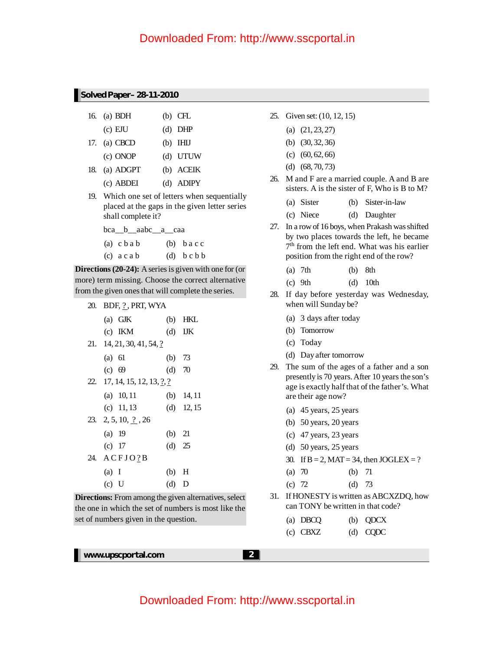#### **Solved Paper– 28-11-2010**

|     | 16. (a) BDH  | $(b)$ CFL   |
|-----|--------------|-------------|
|     | $(c)$ EJU    | $(d)$ DHP   |
|     | 17. (a) CBCD | $(b)$ IHIJ  |
|     | (c) ONOP     | (d) UTUW    |
| 18. | (a) ADGPT    | (b) ACEIK   |
|     | (c) ABDEI    | $(d)$ ADIPY |

19. Which one set of letters when sequentially placed at the gaps in the given letter series shall complete it?

bca\_\_b\_\_aabc\_\_a\_\_caa

- (a)  $cbab$  (b)  $bacc$
- $(c)$  a c a b  $(d)$  b c b b

**Directions (20-24):** A series is given with one for (or more) term missing. Choose the correct alternative from the given ones that will complete the series.

20. BDF, 2, PRT, WYA

| $(a)$ GJK                             |          | $(b)$ HKL    |
|---------------------------------------|----------|--------------|
| $(c)$ IKM                             |          | $(d)$ IJK    |
| 21. 14, 21, 30, 41, 54, ?             |          |              |
| $(a)$ 61                              | (b) $73$ |              |
| (c) 69                                | $(d)$ 70 |              |
| 22. 17, 14, 15, 12, 13, $\frac{?}{?}$ |          |              |
| $(a)$ 10, 11                          |          | (b) $14, 11$ |
| (c) $11, 13$                          |          | (d) $12, 15$ |
| 23. 2, 5, 10, $\frac{7}{2}$ , 26      |          |              |
| (a) 19                                | (b) $21$ |              |
| (c) 17                                | $(d)$ 25 |              |
| 24. ACFJO?B                           |          |              |
| (a) I                                 | (b) H    |              |
| (c) U                                 | $(d)$ D  |              |

**Directions:** From among the given alternatives, select the one in which the set of numbers is most like the set of numbers given in the question.

- 25. Given set: (10, 12, 15)
	- (a) (21, 23, 27)
	- (b) (30, 32, 36)
	- (c) (60, 62, 66)
	- (d) (68, 70, 73)
- 26. M and F are a married couple. A and B are sisters. A is the sister of F, Who is B to M?
	- (a) Sister (b) Sister-in-law
	- (c) Niece (d) Daughter
- 27. In a rowof 16 boys, when Prakash wasshifted by two places towards the left, he became 7 th from the left end. What was his earlier position from the right end of the row?
	- (a) 7th (b) 8th
	- (c) 9th (d) 10th
- 28. If day before yesterday was Wednesday, when will Sunday be?
	- (a) 3 days after today
	- (b) Tomorrow
	- (c) Today
	- (d) Dayafter tomorrow
- 29. The sum of the ages of a father and a son presently is 70 years.After 10 years the son's age is exactly half that of the father's. What are their age now?
	- (a) 45 years, 25 years
	- (b) 50 years, 20 years
	- (c) 47 years, 23 years
	- (d) 50 years, 25 years
	- 30. If  $B = 2$ , MAT = 34, then JOGLEX = ?

| (a) 70 |  | (b) $71$ |
|--------|--|----------|
|        |  |          |

- (c) 72 (d) 73
- 31. If HONESTY is written as ABCXZDO, how can TONY be written in that code?

| (a) DBCO   | $(b)$ QDCX |
|------------|------------|
| $(c)$ CBXZ | $(d)$ CQDC |

**www.upscportal.com 2**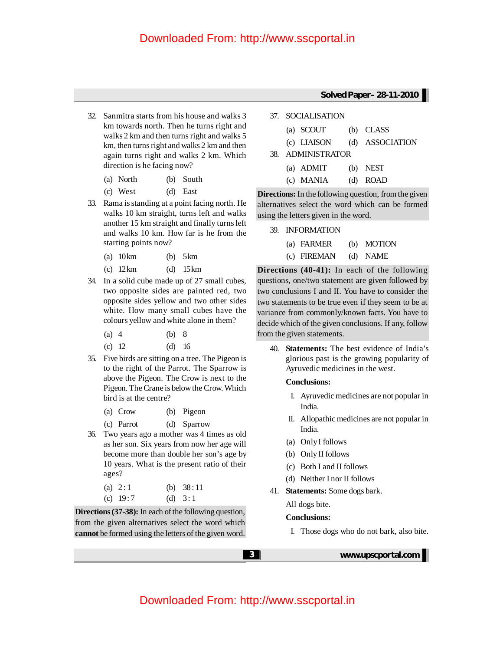- 32. Sanmitra starts from his house and walks 3 km towards north. Then he turns right and walks 2 km and then turns right and walks 5 km, then turns right and walks 2 km and then again turns right and walks 2 km. Which direction is he facing now?
	- (a) North (b) South
	- (c) West (d) East
- 33. Rama isstanding at a point facing north. He walks 10 km straight, turns left and walks another 15 km straight and finally turnsleft and walks 10 km. How far is he from the starting points now?
	- (a) 10km (b) 5km
	- (c) 12km (d) 15km
- 34. In a solid cube made up of 27 small cubes, two opposite sides are painted red, two opposite sides yellow and two other sides white. How many small cubes have the colours yellow and white alone in them?
	- (a) 4 (b) 8
	- (c) 12 (d) 16
- 35. Five birds are sitting on a tree. The Pigeon is to the right of the Parrot. The Sparrow is above the Pigeon. The Crow is next to the Pigeon. The Crane is below the Crow. Which bird is at the centre?
	- (a) Crow (b) Pigeon
	- (c) Parrot (d) Sparrow
- 36. Two years ago a mother was 4 times as old as her son. Six years from now her age will become more than double her son's age by 10 years. What is the present ratio of their ages?
	- (a)  $2:1$  (b)  $38:11$ (c)  $19:7$  (d)  $3:1$

**Directions (37-38):** In each of the following question, from the given alternatives select the word which **cannot** be formed using the letters of the given word.

#### **Solved Paper– 28-11-2010**

37. SOCIALISATION

| (a) SCOUT         | (b) CLASS       |
|-------------------|-----------------|
| (c) LIAISON       | (d) ASSOCIATION |
| 38. ADMINISTRATOR |                 |
| $(a)$ ADMIT       | $(b)$ NEST      |
| (c) MANIA         | (d) ROAD        |

**Directions:** In the following question, from the given alternatives select the word which can be formed using the letters given in the word.

- 39. INFORMATION
	- (a) FARMER (b) MOTION (c) FIREMAN (d) NAME

**Directions (40-41):** In each of the following questions, one/two statement are given followed by two conclusions I and II. You have to consider the two statements to be true even if they seem to be at variance from commonly/known facts. You have to decide which of the given conclusions. If any, follow from the given statements.

40. **Statements:** The best evidence of India's glorious past is the growing popularity of Ayruvedic medicines in the west.

#### **Conclusions:**

- I. Ayruvedic medicines are not popular in India.
- II. Allopathic medicines are not popular in India.
- (a) OnlyI follows
- (b) Only II follows
- (c) Both I and II follows
- (d) Neither I nor II follows
- 41. **Statements:** Some dogs bark.
	- All dogs bite.

#### **Conclusions:**

I. Those dogs who do not bark, also bite.

**3 www.upscportal.com**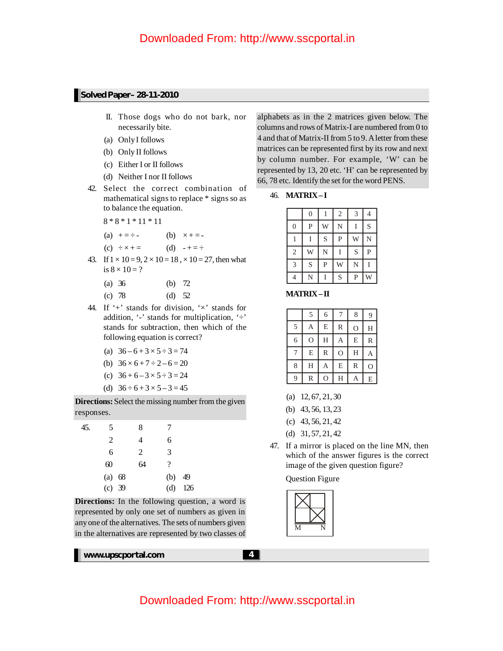#### **Solved Paper– 28-11-2010**

- II. Those dogs who do not bark, nor necessarily bite.
- (a) OnlyI follows
- (b) Only II follows
- (c) Either I or II follows
- (d) Neither I nor II follows
- 42. Select the correct combination of mathematical signs to replace \* signs so as to balance the equation.

8 \* 8 \* 1 \* 11 \* 11

(a)  $+ = \div -$  (b)  $\times + = -$ 

(c) 
$$
\div \times + =
$$
 (d)  $\div - = \div$ 

- 43. If  $1 \times 10 = 9$ ,  $2 \times 10 = 18$ ,  $\times 10 = 27$ , then what is  $8 \times 10 = ?$ 
	- (a) 36 (b) 72
	- (c) 78 (d) 52
- 44. If  $+$  stands for division,  $\forall$  stands for addition, '-' stands for multiplication, ' $\div$ ' stands for subtraction, then which of the following equation is correct?
	- (a)  $36 6 + 3 \times 5 \div 3 = 74$
	- (b)  $36 \times 6 + 7 \div 2 6 = 20$
	- (c)  $36 + 6 3 \times 5 \div 3 = 24$
	- (d)  $36 \div 6 + 3 \times 5 3 = 45$

**Directions:** Select the missing number from the given responses.

| 45. | 5      | 8  | 7   |     |
|-----|--------|----|-----|-----|
|     | 2      | 4  | 6   |     |
|     | 6      | 2  | 3   |     |
|     | 60     | 64 | ?   |     |
|     | (a) 68 |    | (b) | 49  |
|     | (c) 39 |    | (d) | 126 |

**Directions:** In the following question, a word is represented by only one set of numbers as given in anyone of the alternatives. The sets of numbers given in the alternatives are represented by two classes of

**www.upscportal.com 4 4** 

alphabets as in the 2 matrices given below. The columns and rows of Matrix-I are numbered from 0 to 4 and that of Matrix-II from 5 to 9.Aletter from these matrices can be represented first by its row and next by column number. For example, 'W' can be represented by 13, 20 etc. 'H' can be represented by 66, 78 etc. Identify the set for the word PENS.

46. **MATRIX– I**

|                | $\overline{0}$ | 1              | $\overline{2}$ | 3 | $\overline{4}$ |
|----------------|----------------|----------------|----------------|---|----------------|
| $\mathbf{0}$   | $\mathbf{P}$   | Ŵ              | N              | I | S              |
| 1              | I              | S              | $\overline{P}$ | W | N              |
| $\mathfrak{2}$ | Ŵ              | N              | Ī              | S | $\overline{P}$ |
| 3              | S              | $\overline{P}$ | Ŵ              | N | Ī              |
|                | N              |                | S              | P | Ŵ              |

**MATRIX–II**

|                | 5              | 6                       | 7                       | 8              | 9             |
|----------------|----------------|-------------------------|-------------------------|----------------|---------------|
| 5              | Α              | E                       | $\mathbb R$             | $\overline{O}$ | H             |
| 6              | $\overline{O}$ | $\overline{\mathbf{H}}$ | А                       | $\overline{E}$ | $\mathbb R$   |
| $\overline{7}$ | E              | $\mathbb R$             | $\overline{O}$          | H              | $\mathbf{A}$  |
| 8              | H              | А                       | $\overline{E}$          | $\mathbb R$    | $\mathcal{O}$ |
| 9              | R              | Ô                       | $\overline{\mathrm{H}}$ |                | ${\bf E}$     |

- (a) 12, 67, 21, 30
- (b) 43, 56, 13, 23
- (c) 43, 56, 21, 42
- (d) 31, 57, 21, 42
- 47. If a mirror is placed on the line MN, then which of the answer figures is the correct image of the given question figure?

Question Figure

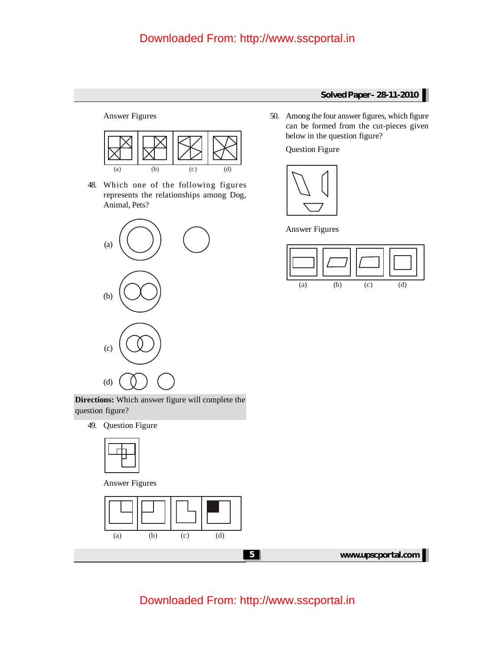Answer Figures



48. Which one of the following figures represents the relationships among Dog, Animal, Pets?



**Directions:** Which answer figure will complete the question figure?

49. Question Figure



Answer Figures





Question Figure



Answer Figures



**5 www.upscportal.com**

## Downloaded From: http://www.sscportal.in

#### **Solved Paper– 28-11-2010**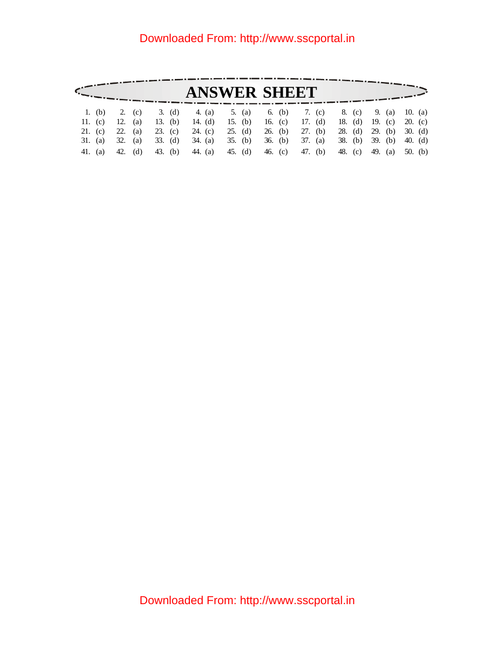|  |                 |  | <b>ANSWER SHEET</b>                                                             |  |  |  |
|--|-----------------|--|---------------------------------------------------------------------------------|--|--|--|
|  |                 |  | 1. (b) 2. (c) 3. (d) 4. (a) 5. (a) 6. (b) 7. (c) 8. (c) 9. (a) 10. (a)          |  |  |  |
|  |                 |  | 11. (c) 12. (a) 13. (b) 14. (d) 15. (b) 16. (c) 17. (d) 18. (d) 19. (c) 20. (c) |  |  |  |
|  |                 |  | 21. (c) 22. (a) 23. (c) 24. (c) 25. (d) 26. (b) 27. (b) 28. (d) 29. (b) 30. (d) |  |  |  |
|  |                 |  | 31. (a) 32. (a) 33. (d) 34. (a) 35. (b) 36. (b) 37. (a) 38. (b) 39. (b) 40. (d) |  |  |  |
|  | 41. (a) 42. (d) |  | 43. (b) 44. (a) 45. (d) 46. (c) 47. (b) 48. (c) 49. (a) 50. (b)                 |  |  |  |